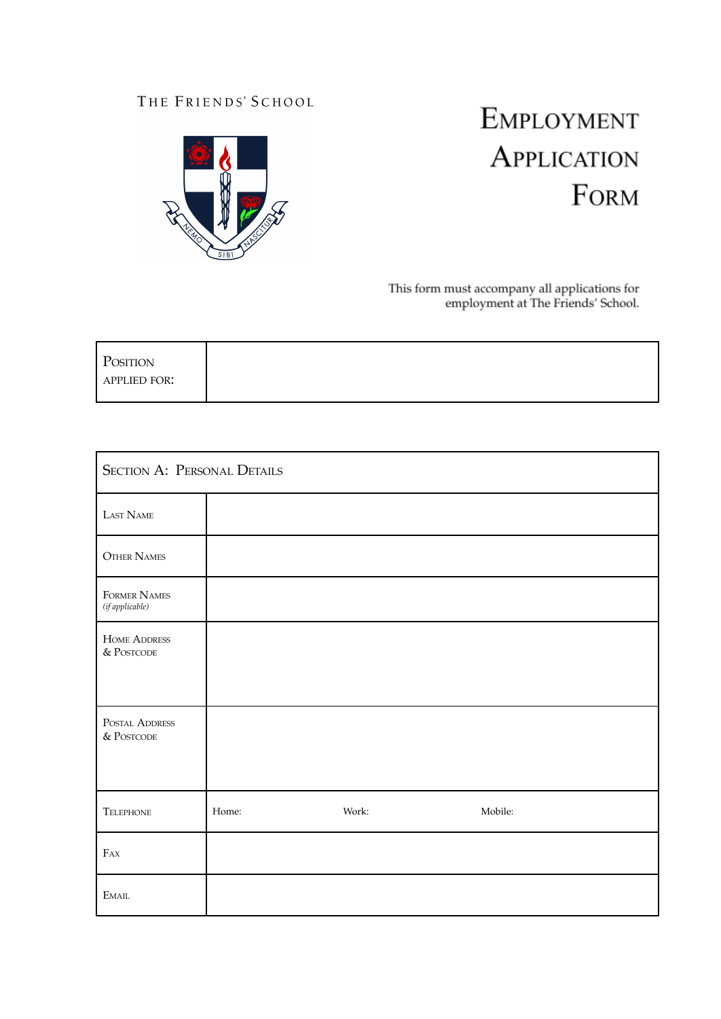# THE FRIENDS' SCHOOL



# EMPLOYMENT APPLICATION FORM

This form must accompany all applications for<br>employment at The Friends' School.

| POSITION     |  |  |
|--------------|--|--|
| APPLIED FOR: |  |  |
|              |  |  |

| <b>SECTION A: PERSONAL DETAILS</b> |       |       |         |  |
|------------------------------------|-------|-------|---------|--|
| LAST NAME                          |       |       |         |  |
| <b>OTHER NAMES</b>                 |       |       |         |  |
| FORMER NAMES<br>(if applicable)    |       |       |         |  |
| <b>HOME ADDRESS</b><br>& POSTCODE  |       |       |         |  |
| POSTAL ADDRESS<br>& POSTCODE       |       |       |         |  |
| TELEPHONE                          | Home: | Work: | Mobile: |  |
| $F_{AX}$                           |       |       |         |  |
| $E_{\rm MAIL}$                     |       |       |         |  |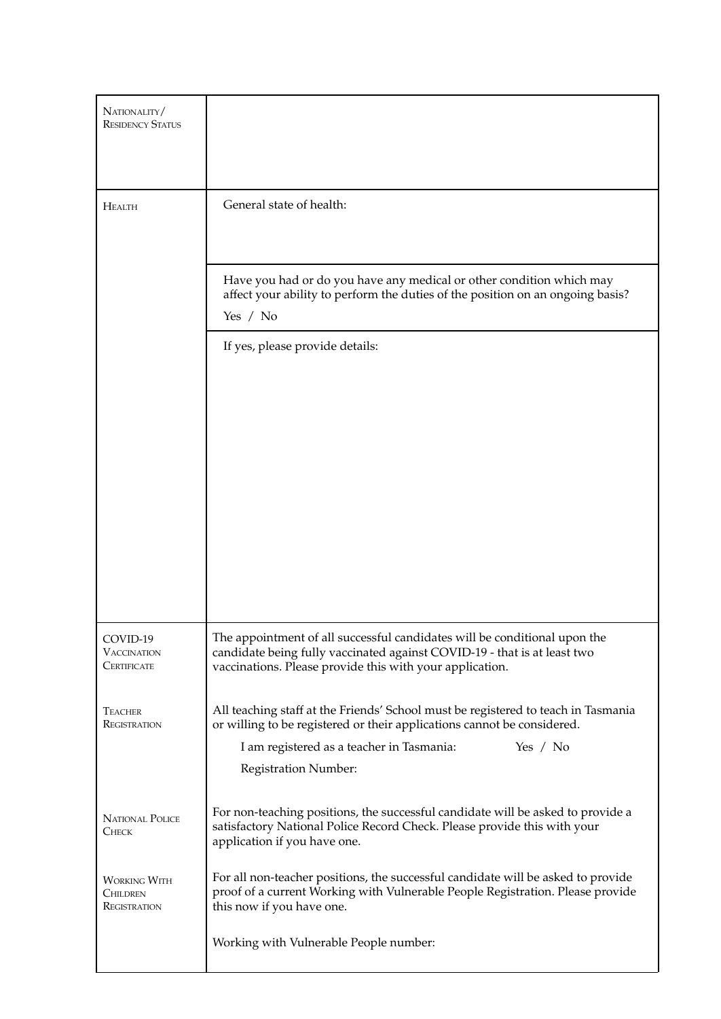| NATIONALITY/<br><b>RESIDENCY STATUS</b>                |                                                                                                                                                                                                                                                 |  |  |  |
|--------------------------------------------------------|-------------------------------------------------------------------------------------------------------------------------------------------------------------------------------------------------------------------------------------------------|--|--|--|
| <b>HEALTH</b>                                          | General state of health:                                                                                                                                                                                                                        |  |  |  |
|                                                        | Have you had or do you have any medical or other condition which may<br>affect your ability to perform the duties of the position on an ongoing basis?<br>Yes / No                                                                              |  |  |  |
|                                                        | If yes, please provide details:                                                                                                                                                                                                                 |  |  |  |
| COVID-19<br><b>VACCINATION</b><br>CERTIFICATE          | The appointment of all successful candidates will be conditional upon the<br>candidate being fully vaccinated against COVID-19 - that is at least two<br>vaccinations. Please provide this with your application.                               |  |  |  |
| <b>TEACHER</b><br>REGISTRATION                         | All teaching staff at the Friends' School must be registered to teach in Tasmania<br>or willing to be registered or their applications cannot be considered.<br>I am registered as a teacher in Tasmania:<br>Yes $/$ No<br>Registration Number: |  |  |  |
| <b>NATIONAL POLICE</b><br><b>CHECK</b>                 | For non-teaching positions, the successful candidate will be asked to provide a<br>satisfactory National Police Record Check. Please provide this with your<br>application if you have one.                                                     |  |  |  |
| <b>WORKING WITH</b><br><b>CHILDREN</b><br>REGISTRATION | For all non-teacher positions, the successful candidate will be asked to provide<br>proof of a current Working with Vulnerable People Registration. Please provide<br>this now if you have one.                                                 |  |  |  |
|                                                        | Working with Vulnerable People number:                                                                                                                                                                                                          |  |  |  |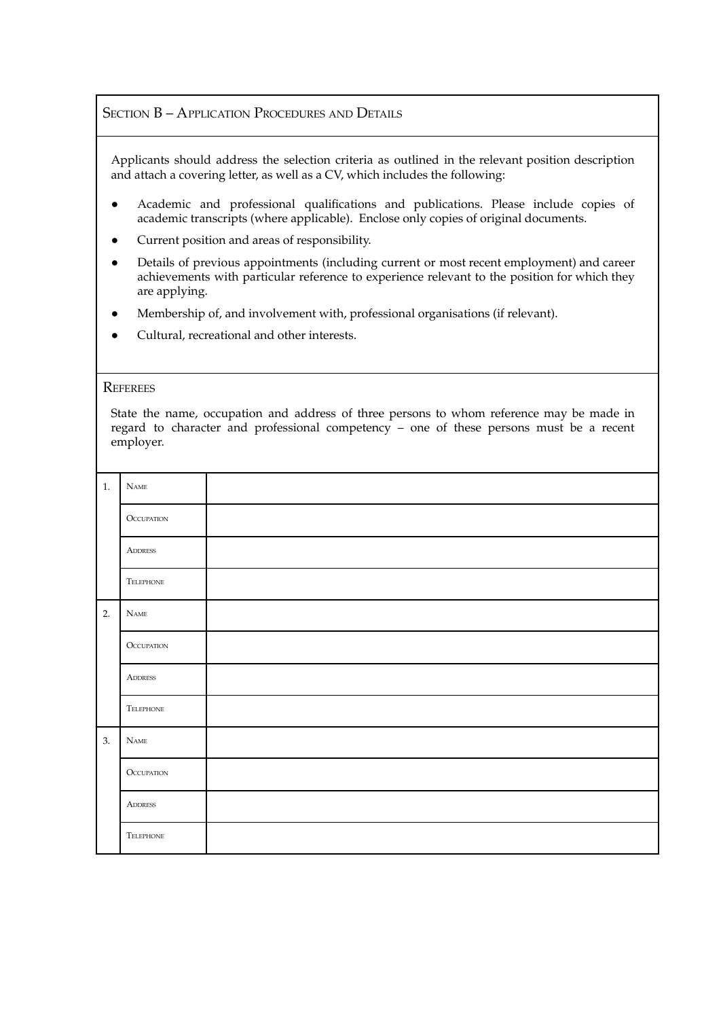## SECTION B - APPLICATION PROCEDURES AND DETAILS

Applicants should address the selection criteria as outlined in the relevant position description and attach a covering letter, as well as a CV, which includes the following:

- Academic and professional qualifications and publications. Please include copies of academic transcripts (where applicable). Enclose only copies of original documents.
- Current position and areas of responsibility.
- Details of previous appointments (including current or most recent employment) and career achievements with particular reference to experience relevant to the position for which they are applying.
- Membership of, and involvement with, professional organisations (if relevant).
- Cultural, recreational and other interests.

### **REFEREES**

State the name, occupation and address of three persons to whom reference may be made in regard to character and professional competency – one of these persons must be a recent employer.

| $1. \,$ | <b>NAME</b>       |  |
|---------|-------------------|--|
|         | <b>OCCUPATION</b> |  |
|         | <b>ADDRESS</b>    |  |
|         | TELEPHONE         |  |
| 2.      | $N_{\rm AME}$     |  |
|         | <b>OCCUPATION</b> |  |
|         | <b>ADDRESS</b>    |  |
|         | TELEPHONE         |  |
| 3.      | $\mathbf{N}$ ame  |  |
|         | <b>OCCUPATION</b> |  |
|         | <b>ADDRESS</b>    |  |
|         | TELEPHONE         |  |